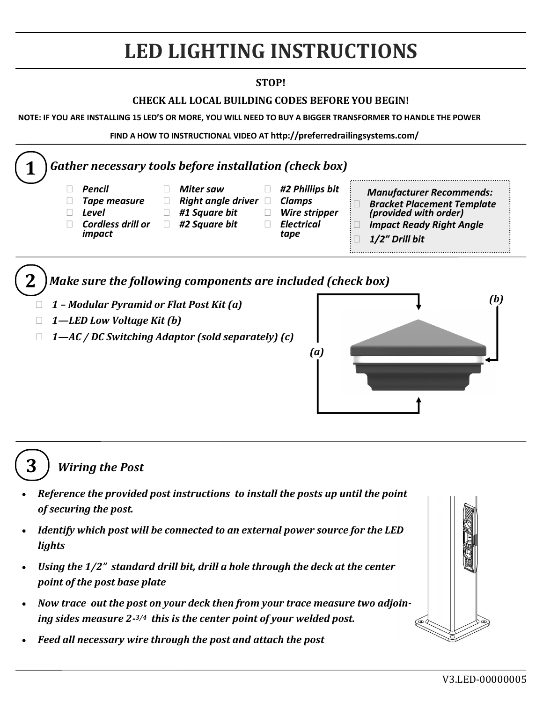# **LED LIGHTING INSTRUCTIONS**

#### **STOP!**

### **CHECK ALL LOCAL BUILDING CODES BEFORE YOU BEGIN!**

**NOTE: IF YOU ARE INSTALLING 15 LED'S OR MORE, YOU WILL NEED TO BUY A BIGGER TRANSFORMER TO HANDLE THE POWER**

**FIND A HOW TO INSTRUCTIONAL VIDEO AT http://preferredrailingsystems.com/**



- *1 – Modular Pyramid or Flat Post Kit (a)*
- *1—LED Low Voltage Kit (b)*
- *1—AC / DC Switching Adaptor (sold separately) (c)*





**3** *Wiring the Post*

- *Reference the provided post instructions to install the posts up until the point of securing the post.*
- *Identify which post will be connected to an external power source for the LED lights*
- *Using the 1/2" standard drill bit, drill a hole through the deck at the center point of the post base plate*
- *Now trace out the post on your deck then from your trace measure two adjoining sides measure 2- 3/4 this is the center point of your welded post.*
- *Feed all necessary wire through the post and attach the post*

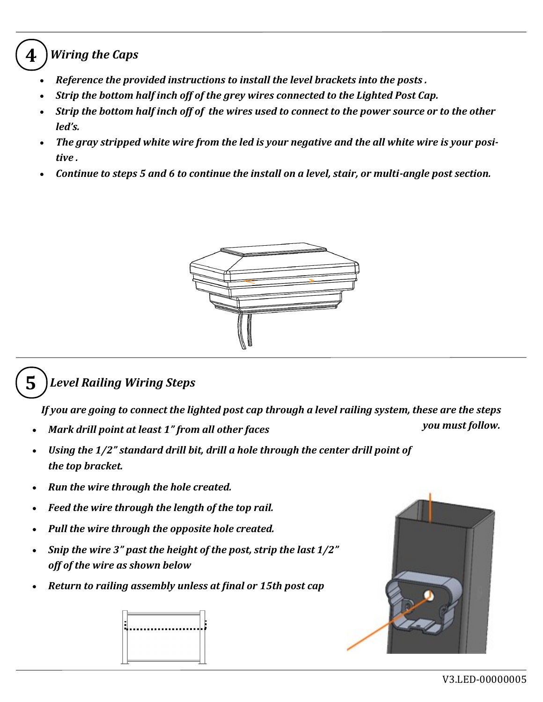## **4** *Wiring the Caps*

- *Reference the provided instructions to install the level brackets into the posts .*
- *Strip the bottom half inch off of the grey wires connected to the Lighted Post Cap.*
- *Strip the bottom half inch off of the wires used to connect to the power source or to the other led's.*
- *The gray stripped white wire from the led is your negative and the all white wire is your positive .*
- *Continue to steps 5 and 6 to continue the install on a level, stair, or multi-angle post section.*



## **5** *Level Railing Wiring Steps*

*If you are going to connect the lighted post cap through a level railing system, these are the steps* 

- *you must follow. Mark drill point at least 1" from all other faces*
- *Using the 1/2" standard drill bit, drill a hole through the center drill point of the top bracket.*
- *Run the wire through the hole created.*
- *Feed the wire through the length of the top rail.*
- *Pull the wire through the opposite hole created.*
- *Snip the wire 3" past the height of the post, strip the last 1/2" off of the wire as shown below*
- *Return to railing assembly unless at final or 15th post cap*



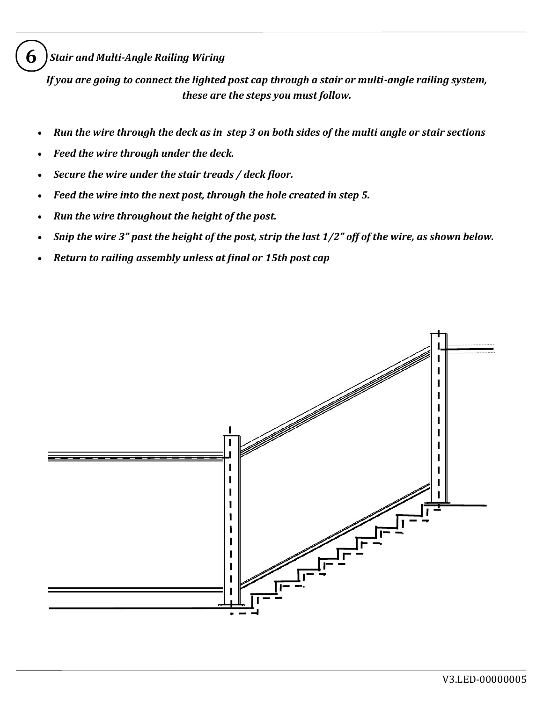**6** *Stair and Multi-Angle Railing Wiring* 

*If you are going to connect the lighted post cap through a stair or multi-angle railing system, these are the steps you must follow.*

- *Run the wire through the deck as in step 3 on both sides of the multi angle or stair sections*
- *Feed the wire through under the deck.*
- *Secure the wire under the stair treads / deck floor.*
- *Feed the wire into the next post, through the hole created in step 5.*
- *Run the wire throughout the height of the post.*
- *Snip the wire 3" past the height of the post, strip the last 1/2" off of the wire, as shown below.*
- *Return to railing assembly unless at final or 15th post cap*